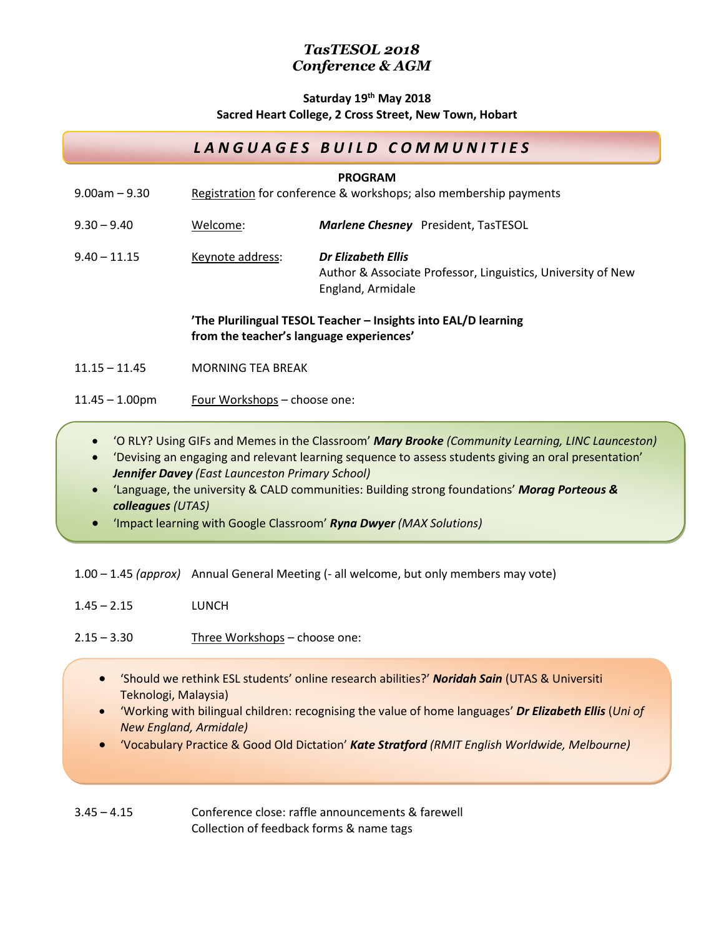### **Saturday 19 th May 2018 Sacred Heart College, 2 Cross Street, New Town, Hobart**

# *L A N G U A G E S B U I L D C O M M U N I T I E S*

| $9.00$ am $-9.30$ | <b>PROGRAM</b><br>Registration for conference & workshops; also membership payments                        |                                                                                                         |
|-------------------|------------------------------------------------------------------------------------------------------------|---------------------------------------------------------------------------------------------------------|
| $9.30 - 9.40$     | Welcome:                                                                                                   | <b>Marlene Chesney</b> President, TasTESOL                                                              |
| $9.40 - 11.15$    | Keynote address:                                                                                           | Dr Elizabeth Ellis<br>Author & Associate Professor, Linguistics, University of New<br>England, Armidale |
|                   | 'The Plurilingual TESOL Teacher – Insights into EAL/D learning<br>from the teacher's language experiences' |                                                                                                         |
| $11.15 - 11.45$   | MORNING TEA BREAK                                                                                          |                                                                                                         |
| $11.45 - 1.00$ pm | Four Workshops – choose one:                                                                               |                                                                                                         |

- 'O RLY? Using GIFs and Memes in the Classroom' *Mary Brooke (Community Learning, LINC Launceston)*
- 'Devising an engaging and relevant learning sequence to assess students giving an oral presentation' *Jennifer Davey (East Launceston Primary School)*
- 'Language, the university & CALD communities: Building strong foundations' *Morag Porteous & colleagues (UTAS)*
- 'Impact learning with Google Classroom' *Ryna Dwyer (MAX Solutions)*

1.00 – 1.45 *(approx)* Annual General Meeting (- all welcome, but only members may vote)

1.45 – 2.15 LUNCH

2.15 – 3.30 Three Workshops – choose one:

- 'Should we rethink ESL students' online research abilities?' *Noridah Sain* (UTAS & Universiti Teknologi, Malaysia)
- 'Working with bilingual children: recognising the value of home languages' *Dr Elizabeth Ellis* (*Uni of New England, Armidale)*
- 'Vocabulary Practice & Good Old Dictation' *Kate Stratford (RMIT English Worldwide, Melbourne)*

3.45 – 4.15 Conference close: raffle announcements & farewell Collection of feedback forms & name tags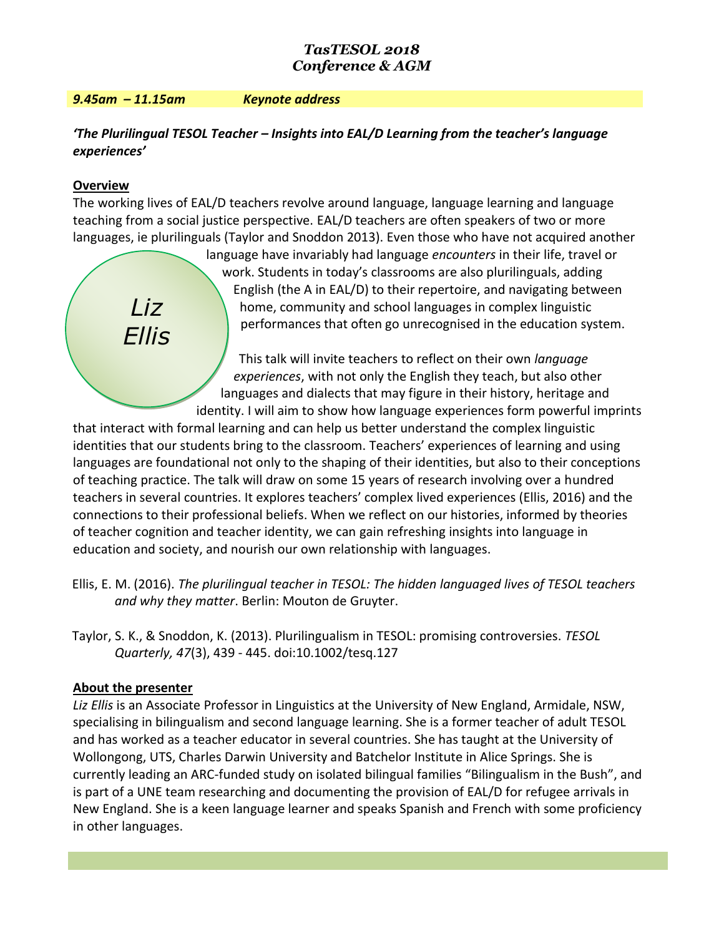#### *9.45am – 11.15am Keynote address*

# *'The Plurilingual TESOL Teacher – Insights into EAL/D Learning from the teacher's language experiences'*

### **Overview**

*Liz*

*Ellis*

The working lives of EAL/D teachers revolve around language, language learning and language teaching from a social justice perspective. EAL/D teachers are often speakers of two or more languages, ie plurilinguals (Taylor and Snoddon 2013). Even those who have not acquired another

> language have invariably had language *encounters* in their life, travel or work. Students in today's classrooms are also plurilinguals, adding English (the A in EAL/D) to their repertoire, and navigating between home, community and school languages in complex linguistic performances that often go unrecognised in the education system.

This talk will invite teachers to reflect on their own *language experiences*, with not only the English they teach, but also other languages and dialects that may figure in their history, heritage and identity. I will aim to show how language experiences form powerful imprints

that interact with formal learning and can help us better understand the complex linguistic identities that our students bring to the classroom. Teachers' experiences of learning and using languages are foundational not only to the shaping of their identities, but also to their conceptions of teaching practice. The talk will draw on some 15 years of research involving over a hundred teachers in several countries. It explores teachers' complex lived experiences (Ellis, 2016) and the connections to their professional beliefs. When we reflect on our histories, informed by theories of teacher cognition and teacher identity, we can gain refreshing insights into language in education and society, and nourish our own relationship with languages.

- Ellis, E. M. (2016). *The plurilingual teacher in TESOL: The hidden languaged lives of TESOL teachers and why they matter*. Berlin: Mouton de Gruyter.
- Taylor, S. K., & Snoddon, K. (2013). Plurilingualism in TESOL: promising controversies. *TESOL Quarterly, 47*(3), 439 - 445. doi:10.1002/tesq.127

### **About the presenter**

*Liz Ellis* is an Associate Professor in Linguistics at the University of New England, Armidale, NSW, specialising in bilingualism and second language learning. She is a former teacher of adult TESOL and has worked as a teacher educator in several countries. She has taught at the University of Wollongong, UTS, Charles Darwin University and Batchelor Institute in Alice Springs. She is currently leading an ARC-funded study on isolated bilingual families "Bilingualism in the Bush", and is part of a UNE team researching and documenting the provision of EAL/D for refugee arrivals in New England. She is a keen language learner and speaks Spanish and French with some proficiency in other languages.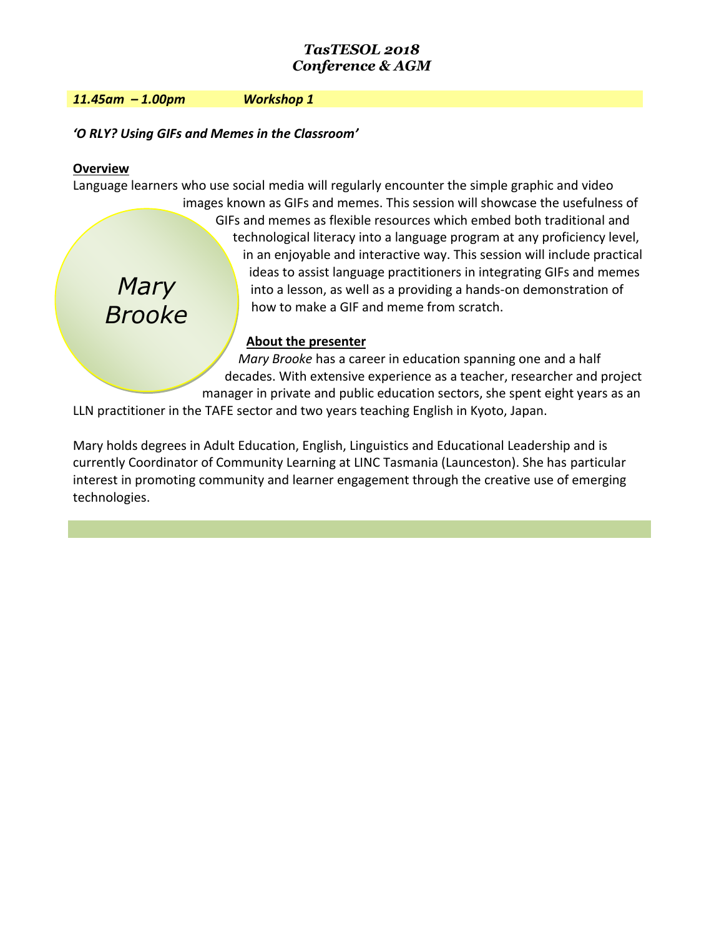*11.45am – 1.00pm Workshop 1* 

*'O RLY? Using GIFs and Memes in the Classroom'*

## **Overview**

*Mary Brooke* Language learners who use social media will regularly encounter the simple graphic and video images known as GIFs and memes. This session will showcase the usefulness of GIFs and memes as flexible resources which embed both traditional and technological literacy into a language program at any proficiency level, in an enjoyable and interactive way. This session will include practical ideas to assist language practitioners in integrating GIFs and memes into a lesson, as well as a providing a hands-on demonstration of how to make a GIF and meme from scratch.

## **About the presenter**

*Mary Brooke* has a career in education spanning one and a half decades. With extensive experience as a teacher, researcher and project manager in private and public education sectors, she spent eight years as an

LLN practitioner in the TAFE sector and two years teaching English in Kyoto, Japan.

Mary holds degrees in Adult Education, English, Linguistics and Educational Leadership and is currently Coordinator of Community Learning at LINC Tasmania (Launceston). She has particular interest in promoting community and learner engagement through the creative use of emerging technologies.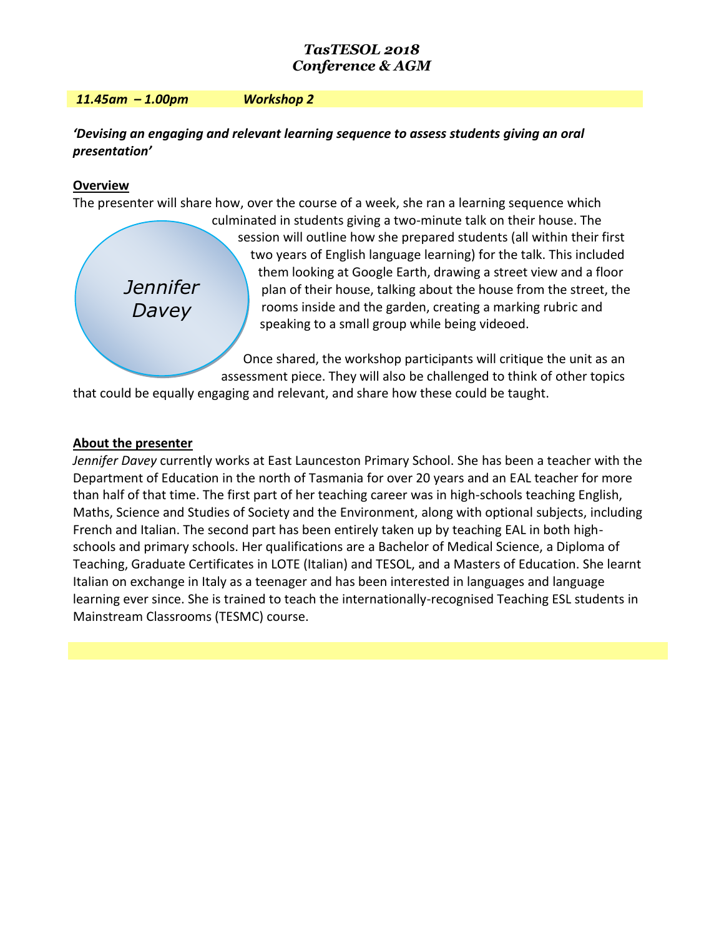#### *11.45am – 1.00pm Workshop 2*

## *'Devising an engaging and relevant learning sequence to assess students giving an oral presentation'*

### **Overview**

The presenter will share how, over the course of a week, she ran a learning sequence which

*Jennifer Davey*

culminated in students giving a two-minute talk on their house. The session will outline how she prepared students (all within their first two years of English language learning) for the talk. This included them looking at Google Earth, drawing a street view and a floor plan of their house, talking about the house from the street, the rooms inside and the garden, creating a marking rubric and speaking to a small group while being videoed.

Once shared, the workshop participants will critique the unit as an assessment piece. They will also be challenged to think of other topics

that could be equally engaging and relevant, and share how these could be taught.

### **About the presenter**

*Jennifer Davey* currently works at East Launceston Primary School. She has been a teacher with the Department of Education in the north of Tasmania for over 20 years and an EAL teacher for more than half of that time. The first part of her teaching career was in high-schools teaching English, Maths, Science and Studies of Society and the Environment, along with optional subjects, including French and Italian. The second part has been entirely taken up by teaching EAL in both highschools and primary schools. Her qualifications are a Bachelor of Medical Science, a Diploma of Teaching, Graduate Certificates in LOTE (Italian) and TESOL, and a Masters of Education. She learnt Italian on exchange in Italy as a teenager and has been interested in languages and language learning ever since. She is trained to teach the internationally-recognised Teaching ESL students in Mainstream Classrooms (TESMC) course.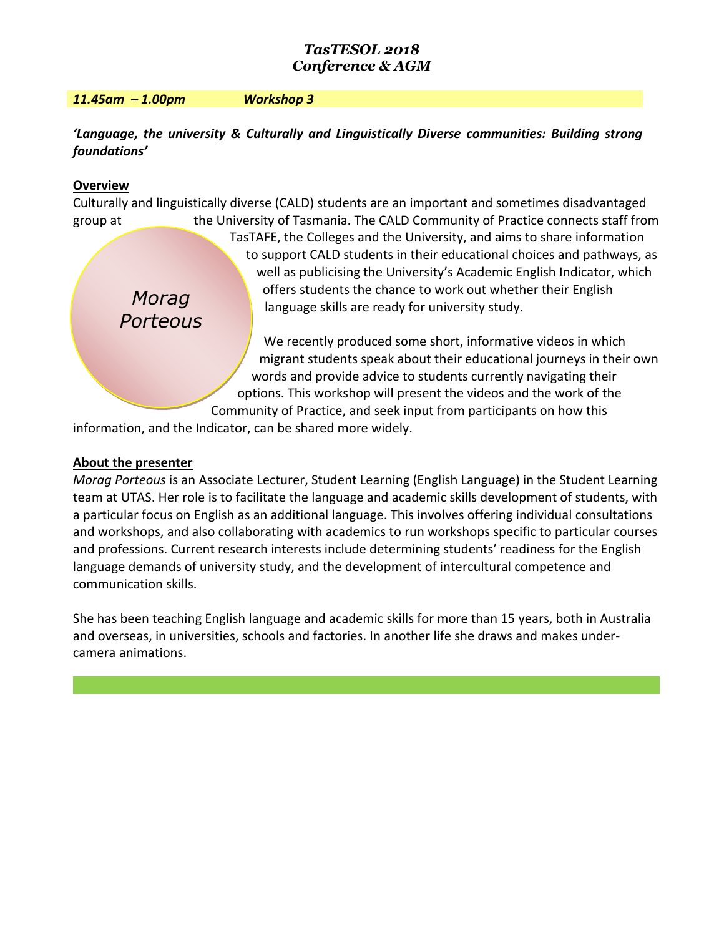#### *11.45am – 1.00pm Workshop 3*

## *'Language, the university & Culturally and Linguistically Diverse communities: Building strong foundations'*

### **Overview**

*Morag Porteous*  Culturally and linguistically diverse (CALD) students are an important and sometimes disadvantaged group at the University of Tasmania. The CALD Community of Practice connects staff from TasTAFE, the Colleges and the University, and aims to share information to support CALD students in their educational choices and pathways, as well as publicising the University's Academic English Indicator, which offers students the chance to work out whether their English language skills are ready for university study. We recently produced some short, informative videos in which migrant students speak about their educational journeys in their own words and provide advice to students currently navigating their options. This workshop will present the videos and the work of the

Community of Practice, and seek input from participants on how this information, and the Indicator, can be shared more widely.

### **About the presenter**

*Morag Porteous* is an Associate Lecturer, Student Learning (English Language) in the Student Learning team at UTAS. Her role is to facilitate the language and academic skills development of students, with a particular focus on English as an additional language. This involves offering individual consultations and workshops, and also collaborating with academics to run workshops specific to particular courses and professions. Current research interests include determining students' readiness for the English language demands of university study, and the development of intercultural competence and communication skills.

She has been teaching English language and academic skills for more than 15 years, both in Australia and overseas, in universities, schools and factories. In another life she draws and makes undercamera animations.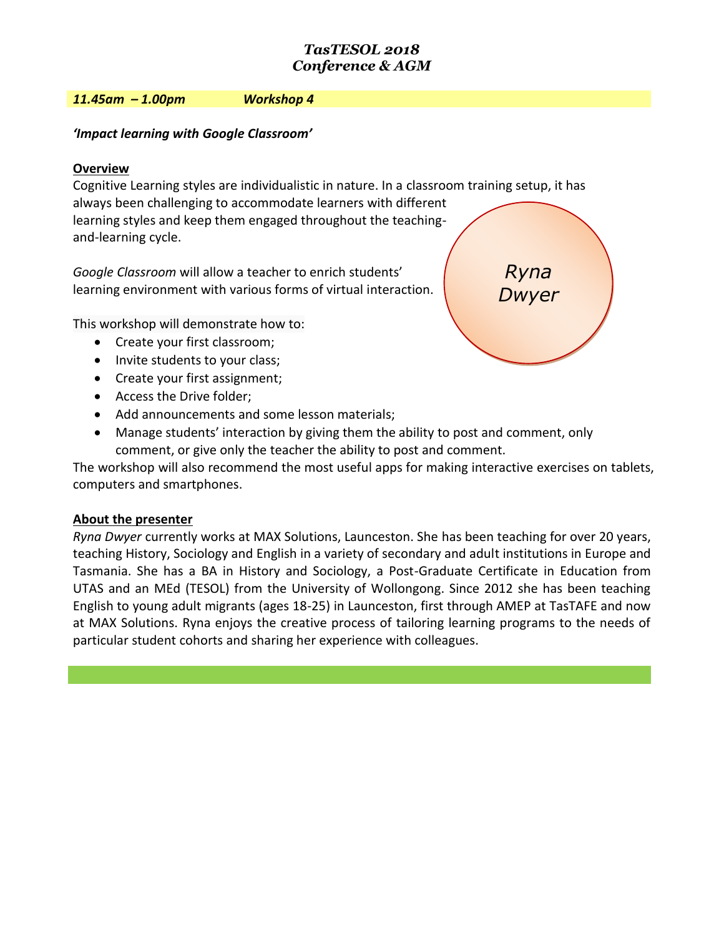#### *11.45am – 1.00pm Workshop 4*

# *'Impact learning with Google Classroom'*

# **Overview**

Cognitive Learning styles are individualistic in nature. In a classroom training setup, it has always been challenging to accommodate learners with different learning styles and keep them engaged throughout the teachingand-learning cycle.

*Google Classroom* will allow a teacher to enrich students' learning environment with various forms of virtual interaction.

This workshop will demonstrate how to:

- Create your first classroom;
- Invite students to your class;
- Create your first assignment;
- Access the Drive folder;
- Add announcements and some lesson materials;
- Manage students' interaction by giving them the ability to post and comment, only comment, or give only the teacher the ability to post and comment.

The workshop will also recommend the most useful apps for making interactive exercises on tablets, computers and smartphones.

# **About the presenter**

*Ryna Dwyer* currently works at MAX Solutions, Launceston. She has been teaching for over 20 years, teaching History, Sociology and English in a variety of secondary and adult institutions in Europe and Tasmania. She has a BA in History and Sociology, a Post-Graduate Certificate in Education from UTAS and an MEd (TESOL) from the University of Wollongong. Since 2012 she has been teaching English to young adult migrants (ages 18-25) in Launceston, first through AMEP at TasTAFE and now at MAX Solutions. Ryna enjoys the creative process of tailoring learning programs to the needs of particular student cohorts and sharing her experience with colleagues.

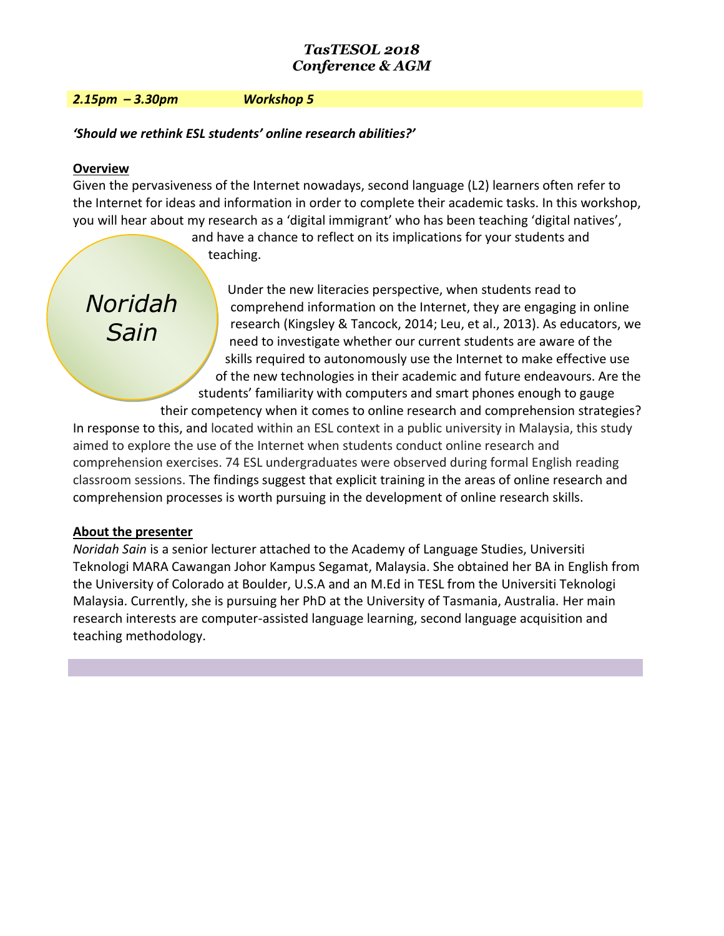#### *2.15pm – 3.30pm Workshop 5*

*'Should we rethink ESL students' online research abilities?'* 

### **Overview**

Given the pervasiveness of the Internet nowadays, second language (L2) learners often refer to the Internet for ideas and information in order to complete their academic tasks. In this workshop, you will hear about my research as a 'digital immigrant' who has been teaching 'digital natives',

> and have a chance to reflect on its implications for your students and teaching.

*Noridah Sain*

Under the new literacies perspective, when students read to comprehend information on the Internet, they are engaging in online research (Kingsley & Tancock, 2014; Leu, et al., 2013). As educators, we need to investigate whether our current students are aware of the skills required to autonomously use the Internet to make effective use of the new technologies in their academic and future endeavours. Are the students' familiarity with computers and smart phones enough to gauge

their competency when it comes to online research and comprehension strategies? In response to this, and located within an ESL context in a public university in Malaysia, this study aimed to explore the use of the Internet when students conduct online research and comprehension exercises. 74 ESL undergraduates were observed during formal English reading classroom sessions. The findings suggest that explicit training in the areas of online research and comprehension processes is worth pursuing in the development of online research skills.

## **About the presenter**

*Noridah Sain* is a senior lecturer attached to the Academy of Language Studies, Universiti Teknologi MARA Cawangan Johor Kampus Segamat, Malaysia. She obtained her BA in English from the University of Colorado at Boulder, U.S.A and an M.Ed in TESL from the Universiti Teknologi Malaysia. Currently, she is pursuing her PhD at the University of Tasmania, Australia. Her main research interests are computer-assisted language learning, second language acquisition and teaching methodology.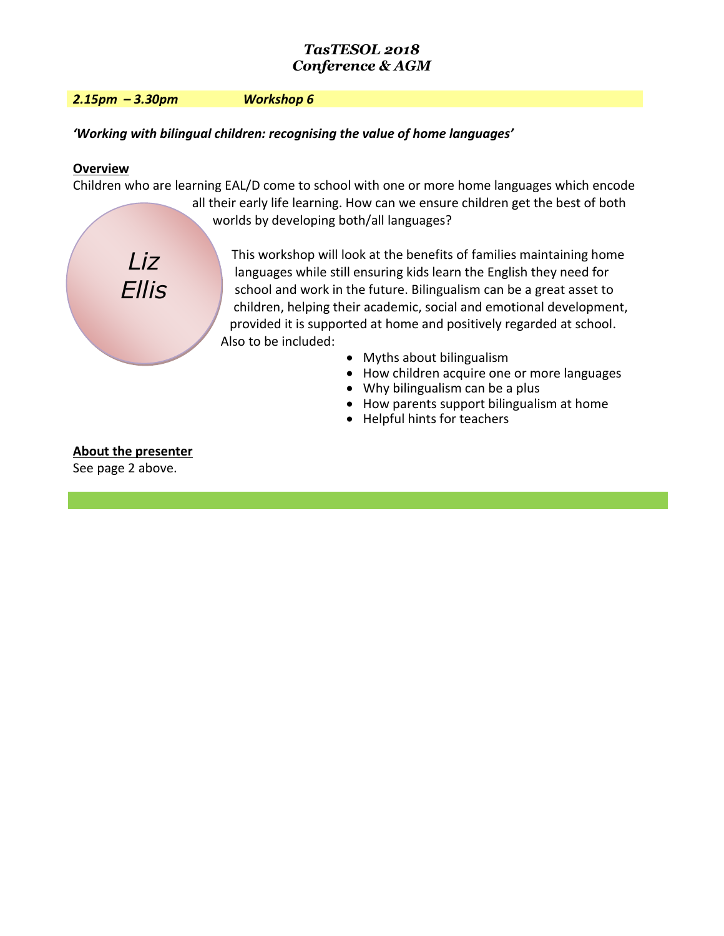*2.15pm – 3.30pm Workshop 6*

*Liz*

*Ellis*

# *'Working with bilingual children: recognising the value of home languages'*

# **Overview**

Children who are learning EAL/D come to school with one or more home languages which encode all their early life learning. How can we ensure children get the best of both worlds by developing both/all languages?

> This workshop will look at the benefits of families maintaining home languages while still ensuring kids learn the English they need for school and work in the future. Bilingualism can be a great asset to children, helping their academic, social and emotional development, provided it is supported at home and positively regarded at school. Also to be included:

- Myths about bilingualism
- How children acquire one or more languages
- Why bilingualism can be a plus
- How parents support bilingualism at home
- Helpful hints for teachers

# **About the presenter**

See page 2 above.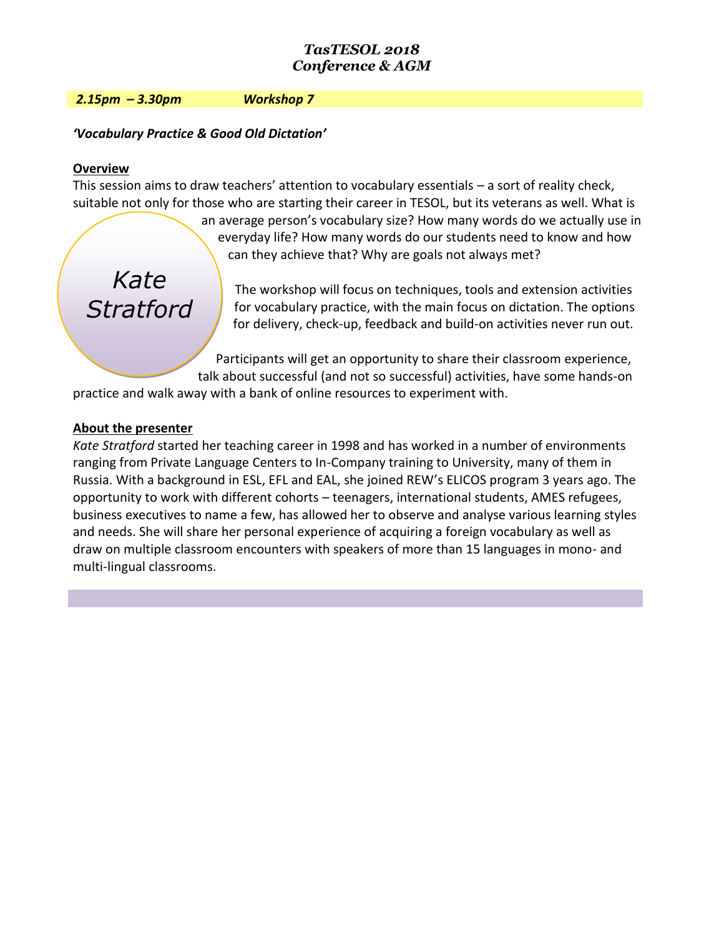#### *2.15pm – 3.30pm Workshop 7*

### *'Vocabulary Practice & Good Old Dictation'*

#### **Overview**

This session aims to draw teachers' attention to vocabulary essentials – a sort of reality check, suitable not only for those who are starting their career in TESOL, but its veterans as well. What is

> an average person's vocabulary size? How many words do we actually use in everyday life? How many words do our students need to know and how can they achieve that? Why are goals not always met?

*Kate Stratford*

The workshop will focus on techniques, tools and extension activities for vocabulary practice, with the main focus on dictation. The options for delivery, check-up, feedback and build-on activities never run out.

Participants will get an opportunity to share their classroom experience, talk about successful (and not so successful) activities, have some hands-on

practice and walk away with a bank of online resources to experiment with.

### **About the presenter**

*Kate Stratford* started her teaching career in 1998 and has worked in a number of environments ranging from Private Language Centers to In-Company training to University, many of them in Russia. With a background in ESL, EFL and EAL, she joined REW's ELICOS program 3 years ago. The opportunity to work with different cohorts – teenagers, international students, AMES refugees, business executives to name a few, has allowed her to observe and analyse various learning styles and needs. She will share her personal experience of acquiring a foreign vocabulary as well as draw on multiple classroom encounters with speakers of more than 15 languages in mono- and multi-lingual classrooms.